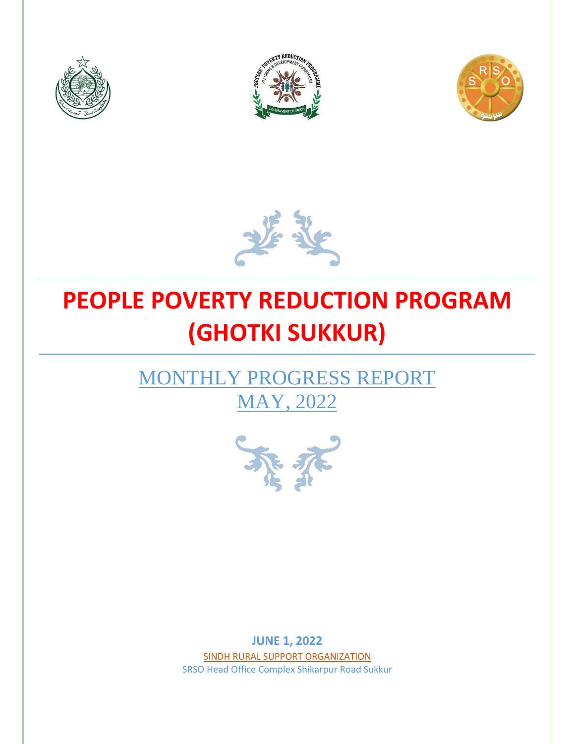







# **PEOPLE POVERTY REDUCTION PROGRAM (GHOTKI SUKKUR)**

# MONTHLY PROGRESS REPORT MAY, 2022



**JUNE 1, 2022** SINDH RURAL SUPPORT ORGANIZATION SRSO Head Office Complex Shikarpur Road Sukkur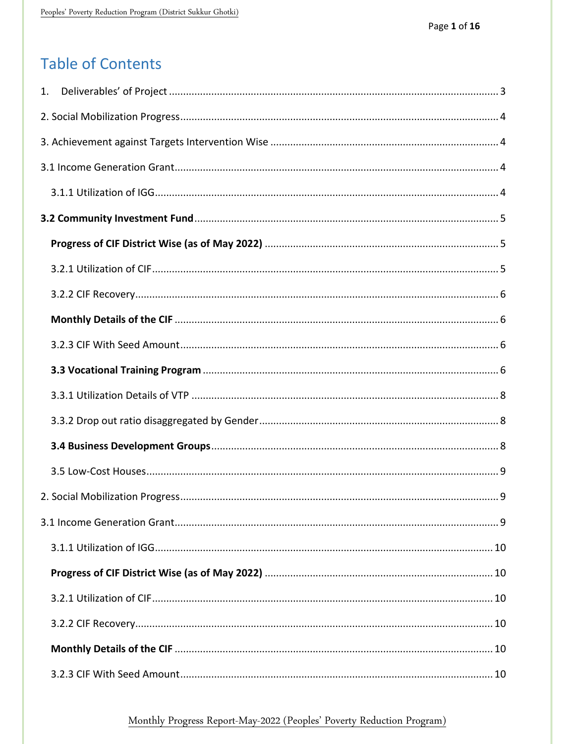# **Table of Contents**

# Monthly Progress Report-May-2022 (Peoples' Poverty Reduction Program)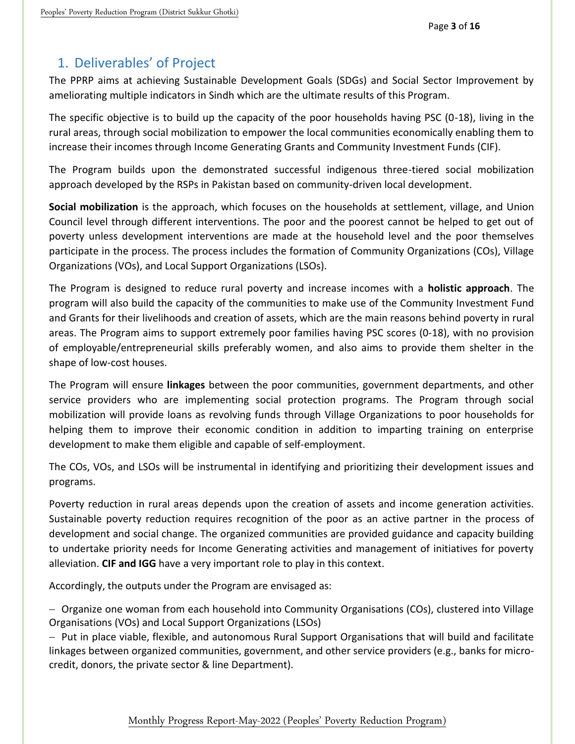# <span id="page-3-0"></span>1. Deliverables' of Project

The PPRP aims at achieving Sustainable Development Goals (SDGs) and Social Sector Improvement by ameliorating multiple indicators in Sindh which are the ultimate results of this Program.

The specific objective is to build up the capacity of the poor households having PSC (0-18), living in the rural areas, through social mobilization to empower the local communities economically enabling them to increase their incomes through Income Generating Grants and Community Investment Funds (CIF).

The Program builds upon the demonstrated successful indigenous three-tiered social mobilization approach developed by the RSPs in Pakistan based on community-driven local development.

**Social mobilization** is the approach, which focuses on the households at settlement, village, and Union Council level through different interventions. The poor and the poorest cannot be helped to get out of poverty unless development interventions are made at the household level and the poor themselves participate in the process. The process includes the formation of Community Organizations (COs), Village Organizations (VOs), and Local Support Organizations (LSOs).

The Program is designed to reduce rural poverty and increase incomes with a **holistic approach**. The program will also build the capacity of the communities to make use of the Community Investment Fund and Grants for their livelihoods and creation of assets, which are the main reasons behind poverty in rural areas. The Program aims to support extremely poor families having PSC scores (0-18), with no provision of employable/entrepreneurial skills preferably women, and also aims to provide them shelter in the shape of low-cost houses.

The Program will ensure **linkages** between the poor communities, government departments, and other service providers who are implementing social protection programs. The Program through social mobilization will provide loans as revolving funds through Village Organizations to poor households for helping them to improve their economic condition in addition to imparting training on enterprise development to make them eligible and capable of self-employment.

The COs, VOs, and LSOs will be instrumental in identifying and prioritizing their development issues and programs.

Poverty reduction in rural areas depends upon the creation of assets and income generation activities. Sustainable poverty reduction requires recognition of the poor as an active partner in the process of development and social change. The organized communities are provided guidance and capacity building to undertake priority needs for Income Generating activities and management of initiatives for poverty alleviation. **CIF and IGG** have a very important role to play in this context.

Accordingly, the outputs under the Program are envisaged as:

- Organize one woman from each household into Community Organisations (COs), clustered into Village Organisations (VOs) and Local Support Organizations (LSOs)

 $-$  Put in place viable, flexible, and autonomous Rural Support Organisations that will build and facilitate linkages between organized communities, government, and other service providers (e.g., banks for microcredit, donors, the private sector & line Department).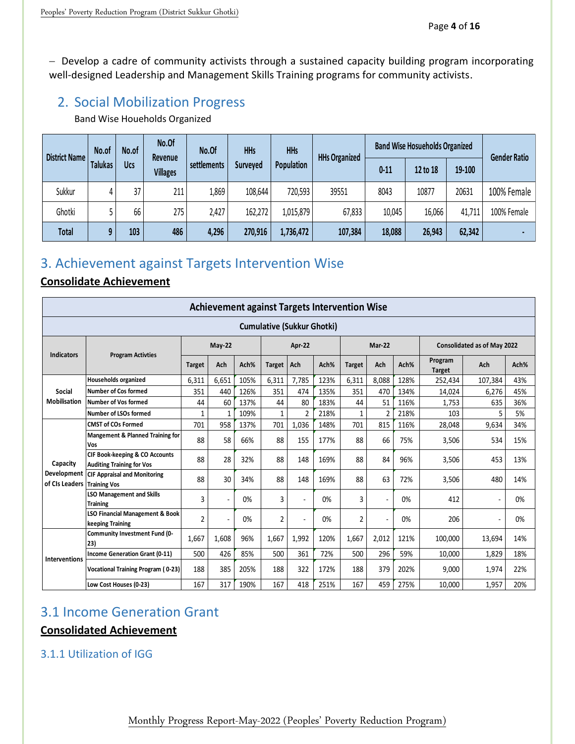- Develop a cadre of community activists through a sustained capacity building program incorporating well-designed Leadership and Management Skills Training programs for community activists.

# <span id="page-4-0"></span>2. Social Mobilization Progress

Band Wise Houeholds Organized

| <b>District Name</b> | No.of          | No.of      | No.Of<br>Revenue | No.Of       | <b>HHs</b><br><b>HHs</b>      |           | <b>HHs Organized</b> | <b>Band Wise Hosueholds Organized</b> | <b>Gender Ratio</b> |        |             |
|----------------------|----------------|------------|------------------|-------------|-------------------------------|-----------|----------------------|---------------------------------------|---------------------|--------|-------------|
|                      | <b>Talukas</b> | <b>Ucs</b> | <b>Villages</b>  | settlements | Population<br><b>Surveyed</b> |           | $0 - 11$             | 12 to 18                              | 19-100              |        |             |
| Sukkur               | 4              | 37         | 211              | 1,869       | 108,644                       | 720,593   | 39551                | 8043                                  | 10877               | 20631  | 100% Female |
| Ghotki               |                | 66         | 275              | 2,427       | 162,272                       | 1,015,879 | 67,833               | 10,045                                | 16,066              | 41,711 | 100% Female |
| <b>Total</b>         | 9              | 103        | 486              | 4,296       | 270,916                       | 1,736,472 | 107,384              | 18,088                                | 26,943              | 62,342 |             |

# <span id="page-4-1"></span>3. Achievement against Targets Intervention Wise

# **Consolidate Achievement**

|                               | <b>Achievement against Targets Intervention Wise</b>               |                |              |      |                |                |      |                |                |      |                                    |         |      |
|-------------------------------|--------------------------------------------------------------------|----------------|--------------|------|----------------|----------------|------|----------------|----------------|------|------------------------------------|---------|------|
|                               | <b>Cumulative (Sukkur Ghotki)</b>                                  |                |              |      |                |                |      |                |                |      |                                    |         |      |
|                               |                                                                    | May-22         |              |      |                | Apr-22         |      |                | Mar-22         |      | <b>Consolidated as of May 2022</b> |         |      |
| <b>Indicators</b>             | <b>Program Activties</b>                                           | <b>Target</b>  | Ach          | Ach% | <b>Target</b>  | Ach            | Ach% | <b>Target</b>  | Ach            | Ach% | Program<br><b>Target</b>           | Ach     | Ach% |
|                               | <b>Households organized</b>                                        | 6,311          | 6.651        | 105% | 6.311          | 7.785          | 123% | 6,311          | 8.088          | 128% | 252,434                            | 107,384 | 43%  |
| Social                        | Number of Cos formed                                               | 351            | 440          | 126% | 351            | 474            | 135% | 351            | 470            | 134% | 14,024                             | 6,276   | 45%  |
| Mobilisation                  | Number of Vos formed                                               | 44             | 60           | 137% | 44             | 80             | 183% | 44             | 51             | 116% | 1,753                              | 635     | 36%  |
|                               | Number of LSOs formed                                              | $\mathbf{1}$   | $\mathbf{1}$ | 109% | $\mathbf{1}$   | $\overline{2}$ | 218% | $\mathbf{1}$   | $\overline{2}$ | 218% | 103                                | 5       | 5%   |
|                               | <b>CMST of COs Formed</b>                                          | 701            | 958          | 137% | 701            | 1,036          | 148% | 701            | 815            | 116% | 28,048                             | 9,634   | 34%  |
|                               | Mangement & Planned Training for<br><b>Vos</b>                     | 88             | 58           | 66%  | 88             | 155            | 177% | 88             | 66             | 75%  | 3,506                              | 534     | 15%  |
| Capacity                      | CIF Book-keeping & CO Accounts<br><b>Auditing Training for Vos</b> | 88             | 28           | 32%  | 88             | 148            | 169% | 88             | 84             | 96%  | 3,506                              | 453     | 13%  |
| Development<br>of CIs Leaders | <b>CIF Appraisal and Monitoring</b><br><b>Training Vos</b>         | 88             | 30           | 34%  | 88             | 148            | 169% | 88             | 63             | 72%  | 3,506                              | 480     | 14%  |
|                               | <b>LSO Management and Skills</b><br><b>Training</b>                | 3              | ٠            | 0%   | 3              |                | 0%   | 3              | ٠              | 0%   | 412                                |         | 0%   |
|                               | <b>LSO Financial Management &amp; Book</b><br>keeping Training     | $\overline{2}$ |              | 0%   | $\overline{c}$ | ÷              | 0%   | $\overline{2}$ | ٠              | 0%   | 206                                |         | 0%   |
|                               | Community Investment Fund (0-<br>23)                               | 1,667          | 1,608        | 96%  | 1,667          | 1,992          | 120% | 1,667          | 2,012          | 121% | 100,000                            | 13,694  | 14%  |
| Interventions                 | Income Generation Grant (0-11)                                     | 500            | 426          | 85%  | 500            | 361            | 72%  | 500            | 296            | 59%  | 10,000                             | 1,829   | 18%  |
|                               | Vocational Training Program (0-23)                                 | 188            | 385          | 205% | 188            | 322            | 172% | 188            | 379            | 202% | 9,000                              | 1,974   | 22%  |
|                               | Low Cost Houses (0-23)                                             | 167            | 317          | 190% | 167            | 418            | 251% | 167            | 459            | 275% | 10,000                             | 1,957   | 20%  |

# <span id="page-4-2"></span>3.1 Income Generation Grant

# **Consolidated Achievement**

# <span id="page-4-3"></span>3.1.1 Utilization of IGG

Monthly Progress Report-May-2022 (Peoples' Poverty Reduction Program)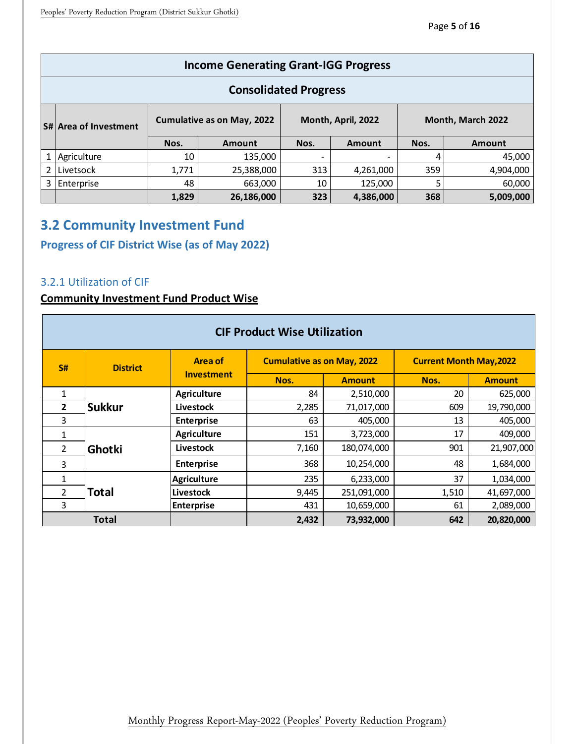|              | <b>Income Generating Grant-IGG Progress</b> |       |                                   |      |                    |                   |               |  |  |  |
|--------------|---------------------------------------------|-------|-----------------------------------|------|--------------------|-------------------|---------------|--|--|--|
|              | <b>Consolidated Progress</b>                |       |                                   |      |                    |                   |               |  |  |  |
|              | <b>S# Area of Investment</b>                |       | <b>Cumulative as on May, 2022</b> |      | Month, April, 2022 | Month, March 2022 |               |  |  |  |
|              |                                             | Nos.  | <b>Amount</b>                     | Nos. | Amount             | Nos.              | <b>Amount</b> |  |  |  |
| $\mathbf{1}$ | Agriculture                                 | 10    | 135,000                           |      |                    | 4                 | 45,000        |  |  |  |
| 2            | Livetsock                                   | 1,771 | 25,388,000                        | 313  | 4,261,000          | 359               | 4,904,000     |  |  |  |
| 3            | Enterprise                                  | 48    | 663,000                           | 10   | 125,000            | 5                 | 60,000        |  |  |  |
|              |                                             | 1,829 | 26,186,000                        | 323  | 4,386,000          | 368               | 5,009,000     |  |  |  |

# <span id="page-5-0"></span>**3.2 Community Investment Fund**

# <span id="page-5-1"></span>**Progress of CIF District Wise (as of May 2022)**

## <span id="page-5-2"></span>3.2.1 Utilization of CIF

### **Community Investment Fund Product Wise**

|                | <b>CIF Product Wise Utilization</b> |                    |                                   |               |                                |               |  |  |  |  |  |
|----------------|-------------------------------------|--------------------|-----------------------------------|---------------|--------------------------------|---------------|--|--|--|--|--|
| S#             | <b>District</b>                     | Area of            | <b>Cumulative as on May, 2022</b> |               | <b>Current Month May, 2022</b> |               |  |  |  |  |  |
|                |                                     | <b>Investment</b>  | Nos.                              | <b>Amount</b> | Nos.                           | <b>Amount</b> |  |  |  |  |  |
| 1              |                                     | <b>Agriculture</b> | 84                                | 2,510,000     | 20                             | 625,000       |  |  |  |  |  |
| $\overline{2}$ | <b>Sukkur</b>                       | <b>Livestock</b>   | 2,285                             | 71,017,000    | 609                            | 19,790,000    |  |  |  |  |  |
| 3              |                                     | <b>Enterprise</b>  | 63                                | 405,000       | 13                             | 405,000       |  |  |  |  |  |
| 1              |                                     | <b>Agriculture</b> | 151                               | 3,723,000     | 17                             | 409,000       |  |  |  |  |  |
| $\overline{2}$ | Ghotki                              | Livestock          | 7,160                             | 180,074,000   | 901                            | 21,907,000    |  |  |  |  |  |
| 3              |                                     | <b>Enterprise</b>  | 368                               | 10,254,000    | 48                             | 1,684,000     |  |  |  |  |  |
| $\mathbf{1}$   |                                     | <b>Agriculture</b> | 235                               | 6,233,000     | 37                             | 1,034,000     |  |  |  |  |  |
| $\overline{2}$ | <b>Total</b>                        | <b>Livestock</b>   | 9,445                             | 251,091,000   | 1,510                          | 41,697,000    |  |  |  |  |  |
| 3              |                                     | <b>Enterprise</b>  | 431                               | 10,659,000    | 61                             | 2,089,000     |  |  |  |  |  |
|                | <b>Total</b>                        |                    | 2,432                             | 73,932,000    | 642                            | 20.820.000    |  |  |  |  |  |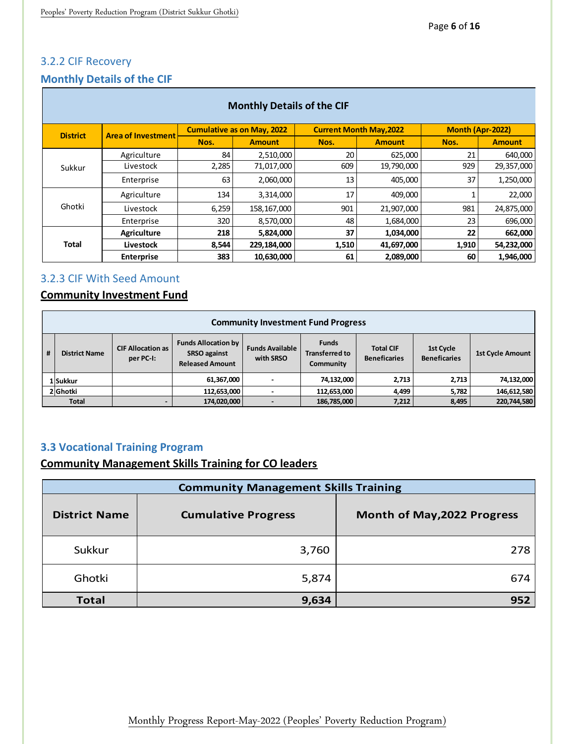# <span id="page-6-0"></span>3.2.2 CIF Recovery

T.

# <span id="page-6-1"></span>**Monthly Details of the CIF**

|                 | <b>Monthly Details of the CIF</b> |       |                                   |       |                                |                  |               |  |  |  |  |
|-----------------|-----------------------------------|-------|-----------------------------------|-------|--------------------------------|------------------|---------------|--|--|--|--|
| <b>District</b> | <b>Area of Investment</b>         |       | <b>Cumulative as on May, 2022</b> |       | <b>Current Month May, 2022</b> | Month (Apr-2022) |               |  |  |  |  |
|                 |                                   | Nos.  | <b>Amount</b>                     | Nos.  | <b>Amount</b>                  | Nos.             | <b>Amount</b> |  |  |  |  |
|                 | Agriculture                       | 84    | 2,510,000                         | 20    | 625,000                        | 21               | 640,000       |  |  |  |  |
| Sukkur          | Livestock                         | 2,285 | 71,017,000                        | 609   | 19,790,000                     | 929              | 29,357,000    |  |  |  |  |
|                 | Enterprise                        | 63    | 2,060,000                         | 13    | 405,000                        | 37               | 1,250,000     |  |  |  |  |
|                 | Agriculture                       | 134   | 3,314,000                         | 17    | 409,000                        |                  | 22,000        |  |  |  |  |
| Ghotki          | Livestock                         | 6,259 | 158,167,000                       | 901   | 21,907,000                     | 981              | 24,875,000    |  |  |  |  |
|                 | Enterprise                        | 320   | 8,570,000                         | 48    | 1,684,000                      | 23               | 696,000       |  |  |  |  |
|                 | Agriculture                       | 218   | 5,824,000                         | 37    | 1,034,000                      | 22               | 662,000       |  |  |  |  |
| <b>Total</b>    | Livestock                         | 8,544 | 229,184,000                       | 1,510 | 41,697,000                     | 1,910            | 54,232,000    |  |  |  |  |
|                 | <b>Enterprise</b>                 | 383   | 10,630,000                        | 61    | 2,089,000                      | 60               | 1,946,000     |  |  |  |  |

### <span id="page-6-2"></span>3.2.3 CIF With Seed Amount

# **Community Investment Fund**

|   | <b>Community Investment Fund Progress</b> |                                       |                                                                             |                                     |                                                    |                                         |                                  |                         |
|---|-------------------------------------------|---------------------------------------|-----------------------------------------------------------------------------|-------------------------------------|----------------------------------------------------|-----------------------------------------|----------------------------------|-------------------------|
| # | <b>District Name</b>                      | <b>CIF Allocation as</b><br>per PC-I: | <b>Funds Allocation by</b><br><b>SRSO</b> against<br><b>Released Amount</b> | <b>Funds Available</b><br>with SRSO | <b>Funds</b><br><b>Transferred to</b><br>Community | <b>Total CIF</b><br><b>Beneficaries</b> | 1st Cycle<br><b>Beneficaries</b> | <b>1st Cycle Amount</b> |
|   | 1 Sukkur                                  |                                       | 61,367,000                                                                  |                                     | 74,132,000                                         | 2.713                                   | 2.713                            | 74,132,000              |
|   | 2 Ghotki                                  |                                       | 112,653,000                                                                 |                                     | 112,653,000                                        | 4,499                                   | 5,782                            | 146,612,580             |
|   | <b>Total</b>                              |                                       | 174,020,000                                                                 |                                     | 186,785,000                                        | 7,212                                   | 8,495                            | 220,744,580             |

# <span id="page-6-3"></span>**3.3 Vocational Training Program**

**Community Management Skills Training for CO leaders**

|                      | <b>Community Management Skills Training</b> |                             |  |  |  |  |  |
|----------------------|---------------------------------------------|-----------------------------|--|--|--|--|--|
| <b>District Name</b> | <b>Cumulative Progress</b>                  | Month of May, 2022 Progress |  |  |  |  |  |
| Sukkur               | 3,760                                       | 278                         |  |  |  |  |  |
| Ghotki               | 5,874                                       | 674                         |  |  |  |  |  |
| <b>Total</b>         | 9,634                                       | 952                         |  |  |  |  |  |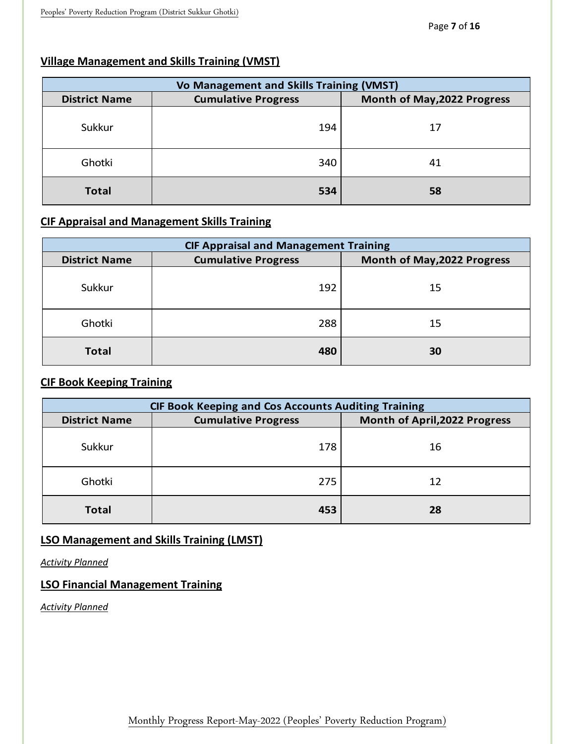# **Village Management and Skills Training (VMST)**

|                      | Vo Management and Skills Training (VMST) |                             |  |  |  |  |  |
|----------------------|------------------------------------------|-----------------------------|--|--|--|--|--|
| <b>District Name</b> | <b>Cumulative Progress</b>               | Month of May, 2022 Progress |  |  |  |  |  |
| Sukkur               | 194                                      | 17                          |  |  |  |  |  |
| Ghotki               | 340                                      | 41                          |  |  |  |  |  |
| <b>Total</b>         | 534                                      | 58                          |  |  |  |  |  |

# **CIF Appraisal and Management Skills Training**

|                      | <b>CIF Appraisal and Management Training</b> |                             |  |  |  |  |  |
|----------------------|----------------------------------------------|-----------------------------|--|--|--|--|--|
| <b>District Name</b> | <b>Cumulative Progress</b>                   | Month of May, 2022 Progress |  |  |  |  |  |
| Sukkur               | 192                                          | 15                          |  |  |  |  |  |
| Ghotki               | 288                                          | 15                          |  |  |  |  |  |
| <b>Total</b>         | 480                                          | 30                          |  |  |  |  |  |

# **CIF Book Keeping Training**

|                      | <b>CIF Book Keeping and Cos Accounts Auditing Training</b> |                                      |  |  |  |  |  |
|----------------------|------------------------------------------------------------|--------------------------------------|--|--|--|--|--|
| <b>District Name</b> | <b>Cumulative Progress</b>                                 | <b>Month of April, 2022 Progress</b> |  |  |  |  |  |
| Sukkur               | 178                                                        | 16                                   |  |  |  |  |  |
| Ghotki               | 275                                                        | 12                                   |  |  |  |  |  |
| <b>Total</b>         | 453                                                        | 28                                   |  |  |  |  |  |

# **LSO Management and Skills Training (LMST)**

*Activity Planned*

# **LSO Financial Management Training**

*Activity Planned*

Monthly Progress Report-May-2022 (Peoples' Poverty Reduction Program)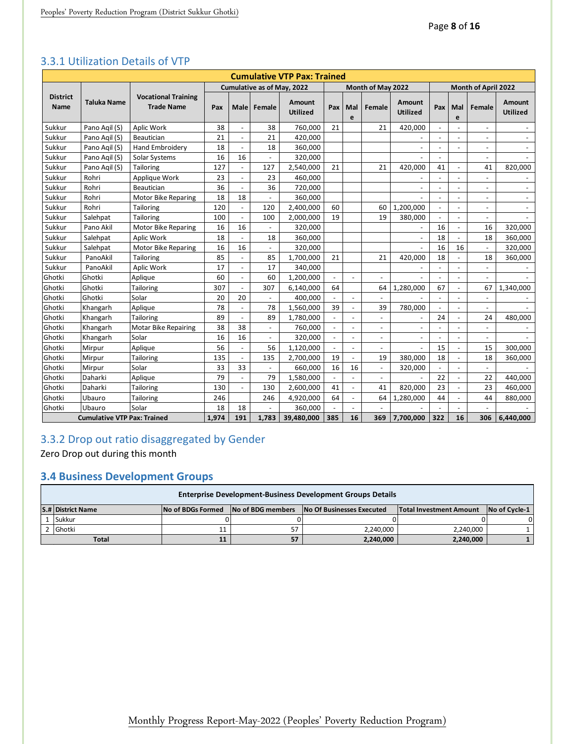|                                |                                    |                                                 |     |                          |                          | <b>Cumulative VTP Pax: Trained</b> |                          |                          |                          |                           |                          |                     |                          |                           |  |
|--------------------------------|------------------------------------|-------------------------------------------------|-----|--------------------------|--------------------------|------------------------------------|--------------------------|--------------------------|--------------------------|---------------------------|--------------------------|---------------------|--------------------------|---------------------------|--|
|                                |                                    |                                                 |     |                          |                          | Cumulative as of May, 2022         |                          |                          | Month of May 2022        |                           |                          | Month of April 2022 |                          |                           |  |
| <b>District</b><br><b>Name</b> | Taluka Name                        | <b>Vocational Training</b><br><b>Trade Name</b> | Pax |                          | Male Female              | Amount<br><b>Utilized</b>          | Pax                      | Mal<br>e                 | Female                   | Amount<br><b>Utilized</b> | Pax                      | Mal<br>e            | Female                   | Amount<br><b>Utilized</b> |  |
| Sukkur                         | Pano Agil (S)                      | Aplic Work                                      | 38  | $\blacksquare$           | 38                       | 760.000                            | 21                       |                          | 21                       | 420,000                   | $\sim$                   | $\overline{a}$      |                          |                           |  |
| Sukkur                         | Pano Agil (S)                      | Beautician                                      | 21  | $\overline{a}$           | 21                       | 420,000                            |                          |                          |                          |                           |                          | $\overline{a}$      | $\overline{a}$           | $\overline{a}$            |  |
| Sukkur                         | Pano Agil (S)                      | Hand Embroidery                                 | 18  | $\blacksquare$           | 18                       | 360,000                            |                          |                          |                          |                           | $\blacksquare$           | $\overline{a}$      | $\overline{\phantom{a}}$ |                           |  |
| Sukkur                         | Pano Agil (S)                      | Solar Systems                                   | 16  | 16                       |                          | 320,000                            |                          |                          |                          |                           | $\overline{\phantom{a}}$ |                     | $\overline{\phantom{a}}$ |                           |  |
| Sukkur                         | Pano Agil (S)                      | Tailoring                                       | 127 | ÷,                       | 127                      | 2,540,000                          | 21                       |                          | 21                       | 420.000                   | 41                       | $\overline{a}$      | 41                       | 820,000                   |  |
| Sukkur                         | Rohri                              | Applique Work                                   | 23  | ÷,                       | 23                       | 460,000                            |                          |                          |                          |                           |                          | $\overline{a}$      | $\overline{a}$           |                           |  |
| Sukkur                         | Rohri                              | Beautician                                      | 36  | $\overline{a}$           | 36                       | 720,000                            |                          |                          |                          |                           | $\overline{\phantom{a}}$ | $\overline{a}$      | $\overline{\phantom{a}}$ | $\blacksquare$            |  |
| Sukkur                         | Rohri                              | <b>Motor Bike Reparing</b>                      | 18  | 18                       |                          | 360.000                            |                          |                          |                          |                           | $\overline{\phantom{a}}$ | $\overline{a}$      | $\overline{\phantom{a}}$ | $\sim$                    |  |
| Sukkur                         | Rohri                              | Tailoring                                       | 120 | $\blacksquare$           | 120                      | 2,400,000                          | 60                       |                          | 60                       | 1,200,000                 | $\overline{\phantom{a}}$ | $\overline{a}$      | $\overline{\phantom{a}}$ |                           |  |
| Sukkur                         | Salehpat                           | <b>Tailoring</b>                                | 100 | ÷,                       | 100                      | 2.000.000                          | 19                       |                          | 19                       | 380.000                   | $\overline{\phantom{a}}$ | $\overline{a}$      | $\overline{a}$           |                           |  |
| Sukkur                         | Pano Akil                          | Motor Bike Reparing                             | 16  | 16                       | $\overline{\phantom{a}}$ | 320,000                            |                          |                          |                          |                           | 16                       | $\overline{a}$      | 16                       | 320,000                   |  |
| Sukkur                         | Salehpat                           | Aplic Work                                      | 18  |                          | 18                       | 360,000                            |                          |                          |                          |                           | 18                       | $\overline{a}$      | 18                       | 360,000                   |  |
| Sukkur                         | Salehpat                           | Motor Bike Reparing                             | 16  | 16                       |                          | 320,000                            |                          |                          |                          |                           | 16                       | 16                  | $\overline{\phantom{a}}$ | 320,000                   |  |
| Sukkur                         | PanoAkil                           | Tailoring                                       | 85  |                          | 85                       | 1,700,000                          | 21                       |                          | 21                       | 420.000                   | 18                       |                     | 18                       | 360,000                   |  |
| Sukkur                         | PanoAkil                           | Aplic Work                                      | 17  | $\overline{a}$           | 17                       | 340,000                            |                          |                          |                          |                           |                          | $\overline{a}$      | $\overline{a}$           |                           |  |
| Ghotki                         | Ghotki                             | Aplique                                         | 60  | ÷,                       | 60                       | 1,200,000                          | $\overline{a}$           |                          |                          |                           |                          |                     |                          |                           |  |
| Ghotki                         | Ghotki                             | <b>Tailoring</b>                                | 307 | $\overline{a}$           | 307                      | 6,140,000                          | 64                       |                          | 64                       | 1,280,000                 | 67                       | $\overline{a}$      | 67                       | 1,340,000                 |  |
| Ghotki                         | Ghotki                             | Solar                                           | 20  | 20                       |                          | 400,000                            |                          | $\overline{a}$           |                          |                           |                          | $\overline{a}$      | $\overline{\phantom{a}}$ |                           |  |
| Ghotki                         | Khangarh                           | Aplique                                         | 78  | ÷,                       | 78                       | 1,560,000                          | 39                       | $\overline{a}$           | 39                       | 780,000                   | $\overline{\phantom{a}}$ | $\overline{a}$      | $\overline{a}$           |                           |  |
| Ghotki                         | Khangarh                           | <b>Tailoring</b>                                | 89  | $\overline{a}$           | 89                       | 1,780,000                          | $\overline{\phantom{a}}$ | $\overline{a}$           | $\overline{a}$           |                           | 24                       | $\overline{a}$      | 24                       | 480.000                   |  |
| Ghotki                         | Khangarh                           | <b>Motar Bike Repairing</b>                     | 38  | 38                       | $\overline{\phantom{a}}$ | 760,000                            | $\overline{\phantom{a}}$ | $\overline{\phantom{a}}$ | $\overline{\phantom{a}}$ |                           |                          | $\overline{a}$      |                          |                           |  |
| Ghotki                         | Khangarh                           | Solar                                           | 16  | 16                       | $\overline{a}$           | 320,000                            | $\sim$                   | $\overline{a}$           | $\overline{a}$           | $\overline{a}$            |                          |                     | $\overline{\phantom{a}}$ |                           |  |
| Ghotki                         | Mirpur                             | Aplique                                         | 56  | ÷,                       | 56                       | 1,120,000                          | $\overline{\phantom{a}}$ | $\overline{\phantom{a}}$ | $\overline{a}$           |                           | 15                       |                     | 15                       | 300,000                   |  |
| Ghotki                         | Mirpur                             | <b>Tailoring</b>                                | 135 | $\overline{\phantom{a}}$ | 135                      | 2,700,000                          | 19                       | $\overline{a}$           | 19                       | 380.000                   | 18                       | $\overline{a}$      | 18                       | 360,000                   |  |
| Ghotki                         | Mirpur                             | Solar                                           | 33  | 33                       |                          | 660,000                            | 16                       | 16                       | $\overline{\phantom{a}}$ | 320,000                   |                          |                     |                          |                           |  |
| Ghotki                         | Daharki                            | Aplique                                         | 79  | $\overline{a}$           | 79                       | 1,580,000                          | $\overline{\phantom{a}}$ | $\blacksquare$           | $\overline{a}$           |                           | 22                       | $\overline{a}$      | 22                       | 440,000                   |  |
| Ghotki                         | Daharki                            | Tailoring                                       | 130 | $\blacksquare$           | 130                      | 2,600,000                          | 41                       | $\blacksquare$           | 41                       | 820,000                   | 23                       | ÷,                  | 23                       | 460,000                   |  |
| Ghotki                         | Ubauro                             | <b>Tailoring</b>                                | 246 |                          | 246                      | 4,920,000                          | 64                       | $\overline{\phantom{a}}$ | 64                       | 1,280,000                 | 44                       | $\blacksquare$      | 44                       | 880,000                   |  |
| Ghotki                         | Ubauro                             | Solar                                           | 18  | 18                       |                          | 360,000                            |                          | $\overline{a}$           |                          |                           |                          |                     |                          |                           |  |
|                                | <b>Cumulative VTP Pax: Trained</b> |                                                 |     |                          | 1.783                    | 39,480,000                         | 385                      | 16                       | 369                      | 7.700.000                 | 322                      | 16                  | 306                      | 6.440.000                 |  |

#### <span id="page-8-0"></span>3.3.1 Utilization Details of VTP

# <span id="page-8-1"></span>3.3.2 Drop out ratio disaggregated by Gender

Zero Drop out during this month

# <span id="page-8-2"></span>**3.4 Business Development Groups**

<span id="page-8-3"></span>

| <b>Enterprise Development-Business Development Groups Details</b> |                          |                          |                           |                                |                      |  |  |  |  |  |  |  |
|-------------------------------------------------------------------|--------------------------|--------------------------|---------------------------|--------------------------------|----------------------|--|--|--|--|--|--|--|
| <b>S.# District Name</b>                                          | <b>No of BDGs Formed</b> | <b>No of BDG members</b> | No Of Businesses Executed | <b>Total Investment Amount</b> | <b>No of Cycle-1</b> |  |  |  |  |  |  |  |
| Sukkur                                                            |                          |                          |                           |                                |                      |  |  |  |  |  |  |  |
| 2 Ghotki                                                          |                          |                          | 2,240,000                 | 2.240.000                      |                      |  |  |  |  |  |  |  |
| <b>Total</b><br>57<br>2,240,000<br>2,240,000                      |                          |                          |                           |                                |                      |  |  |  |  |  |  |  |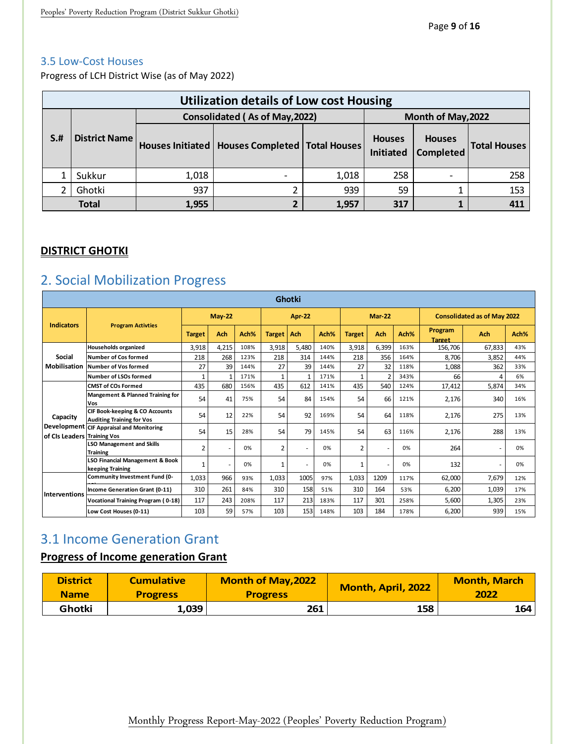#### 3.5 Low-Cost Houses

Progress of LCH District Wise (as of May 2022)

|      | <b>Utilization details of Low cost Housing</b>       |       |                                                    |       |                                   |                                   |                     |  |  |  |  |  |
|------|------------------------------------------------------|-------|----------------------------------------------------|-------|-----------------------------------|-----------------------------------|---------------------|--|--|--|--|--|
|      | Consolidated (As of May, 2022)<br>Month of May, 2022 |       |                                                    |       |                                   |                                   |                     |  |  |  |  |  |
| $S+$ | <b>District Name</b>                                 |       | Houses Initiated   Houses Completed   Total Houses |       | <b>Houses</b><br><b>Initiated</b> | <b>Houses</b><br><b>Completed</b> | <b>Total Houses</b> |  |  |  |  |  |
|      | Sukkur                                               | 1,018 |                                                    | 1,018 | 258                               |                                   | 258                 |  |  |  |  |  |
|      | Ghotki                                               | 937   |                                                    | 939   | 59                                |                                   | 153                 |  |  |  |  |  |
|      | <b>Total</b>                                         | 1,955 |                                                    | 1,957 | 317                               |                                   | 411                 |  |  |  |  |  |

# **DISTRICT GHOTKI**

# <span id="page-9-0"></span>2. Social Mobilization Progress

|                             | <b>Ghotki</b>                                                                 |                |          |      |               |              |      |                |                          |      |                          |                                    |      |
|-----------------------------|-------------------------------------------------------------------------------|----------------|----------|------|---------------|--------------|------|----------------|--------------------------|------|--------------------------|------------------------------------|------|
|                             |                                                                               |                | $May-22$ |      |               | Apr-22       |      |                | <b>Mar-22</b>            |      |                          | <b>Consolidated as of May 2022</b> |      |
| <b>Indicators</b>           | <b>Program Activties</b>                                                      | <b>Target</b>  | Ach      | Ach% | <b>Target</b> | Ach          | Ach% | <b>Target</b>  | Ach                      | Ach% | Program<br><b>Target</b> | <b>Ach</b>                         | Ach% |
|                             | Households organized                                                          | 3,918          | 4,215    | 108% | 3,918         | 5,480        | 140% | 3,918          | 6,399                    | 163% | 156,706                  | 67,833                             | 43%  |
| Social                      | <b>Number of Cos formed</b>                                                   | 218            | 268      | 123% | 218           | 314          | 144% | 218            | 356                      | 164% | 8.706                    | 3,852                              | 44%  |
| Mobilisation                | Number of Vos formed                                                          | 27             | 39       | 144% | 27            | 39           | 144% | 27             | 32                       | 118% | 1,088                    | 362                                | 33%  |
|                             | Number of LSOs formed                                                         |                |          | 171% | $\mathbf{1}$  | $\mathbf{1}$ | 171% | $\mathbf{1}$   | $\overline{\phantom{a}}$ | 343% | 66                       |                                    | 6%   |
|                             | <b>CMST of COs Formed</b>                                                     | 435            | 680      | 156% | 435           | 612          | 141% | 435            | 540                      | 124% | 17,412                   | 5,874                              | 34%  |
|                             | <b>Mangement &amp; Planned Training for</b><br>Vos                            | 54             | 41       | 75%  | 54            | 84           | 154% | 54             | 66                       | 121% | 2,176                    | 340                                | 16%  |
| Capacity                    | <b>CIF Book-keeping &amp; CO Accounts</b><br><b>Auditing Training for Vos</b> | 54             | 12       | 22%  | 54            | 92           | 169% | 54             | 64                       | 118% | 2,176                    | 275                                | 13%  |
| of CIs Leaders Training Vos | Development CIF Appraisal and Monitoring                                      | 54             | 15       | 28%  | 54            | 79           | 145% | 54             | 63                       | 116% | 2,176                    | 288                                | 13%  |
|                             | <b>LSO Management and Skills</b><br><b>Training</b>                           | $\overline{2}$ | ٠        | 0%   | 2             | ٠            | 0%   | $\overline{2}$ | ٠                        | 0%   | 264                      |                                    | 0%   |
|                             | <b>LSO Financial Management &amp; Book</b><br>keeping Training                | 1              | ٠        | 0%   | 1             | ÷            | 0%   | 1              | ٠                        | 0%   | 132                      |                                    | 0%   |
|                             | Community Investment Fund (0-                                                 | 1,033          | 966      | 93%  | 1,033         | 1005         | 97%  | 1,033          | 1209                     | 117% | 62,000                   | 7,679                              | 12%  |
| <b>Interventions</b>        | Income Generation Grant (0-11)                                                | 310            | 261      | 84%  | 310           | 158          | 51%  | 310            | 164                      | 53%  | 6,200                    | 1,039                              | 17%  |
|                             | <b>Vocational Training Program (0-18)</b>                                     | 117            | 243      | 208% | 117           | 213          | 183% | 117            | 301                      | 258% | 5,600                    | 1,305                              | 23%  |
|                             | Low Cost Houses (0-11)                                                        | 103            | 59       | 57%  | 103           | 153          | 148% | 103            | 184                      | 178% | 6,200                    | 939                                | 15%  |

# <span id="page-9-1"></span>3.1 Income Generation Grant

# **Progress of Income generation Grant**

<span id="page-9-2"></span>

| <b>District</b> | <b>Cumulative</b> | <b>Month of May, 2022</b> | Month, April, 2022 | <b>Month, March</b> |
|-----------------|-------------------|---------------------------|--------------------|---------------------|
| <b>Name</b>     | <b>Progress</b>   | <b>Progress</b>           |                    | 2022                |
| Ghotki          | 1,039             | 261                       | 158                | 164                 |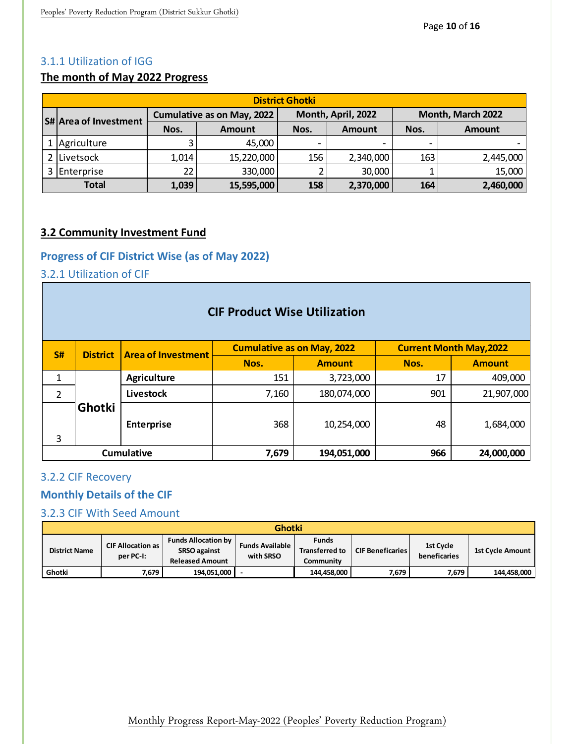#### 3.1.1 Utilization of IGG

# **The month of May 2022 Progress**

| <b>District Ghotki</b>       |       |                                   |      |                    |                   |               |  |  |  |  |  |  |
|------------------------------|-------|-----------------------------------|------|--------------------|-------------------|---------------|--|--|--|--|--|--|
| <b>S# Area of Investment</b> |       | <b>Cumulative as on May, 2022</b> |      | Month, April, 2022 | Month, March 2022 |               |  |  |  |  |  |  |
|                              | Nos.  | <b>Amount</b>                     | Nos. | <b>Amount</b>      | Nos.              | <b>Amount</b> |  |  |  |  |  |  |
| Agriculture                  |       | 45,000                            |      |                    |                   |               |  |  |  |  |  |  |
| 2 Livetsock                  | 1,014 | 15,220,000                        | 156  | 2,340,000          | 163               | 2,445,000     |  |  |  |  |  |  |
| 3 Enterprise                 | 22    | 330,000                           |      | 30,000             |                   | 15,000        |  |  |  |  |  |  |
| <b>Total</b>                 | 1,039 | 15,595,000                        | 158  | 2,370,000          | 164               | 2,460,000     |  |  |  |  |  |  |

### **3.2 Community Investment Fund**

# <span id="page-10-0"></span>**Progress of CIF District Wise (as of May 2022)**

# <span id="page-10-1"></span>3.2.1 Utilization of CIF

|                                                                | <b>CIF Product Wise Utilization</b> |                           |       |                                   |      |                                |  |  |  |  |  |  |
|----------------------------------------------------------------|-------------------------------------|---------------------------|-------|-----------------------------------|------|--------------------------------|--|--|--|--|--|--|
| S#                                                             | <b>District</b>                     | <b>Area of Investment</b> |       | <b>Cumulative as on May, 2022</b> |      | <b>Current Month May, 2022</b> |  |  |  |  |  |  |
|                                                                |                                     |                           | Nos.  | <b>Amount</b>                     | Nos. | <b>Amount</b>                  |  |  |  |  |  |  |
| 1                                                              |                                     | <b>Agriculture</b>        | 151   | 3,723,000                         | 17   | 409,000                        |  |  |  |  |  |  |
| 2                                                              |                                     | Livestock                 | 7,160 | 180,074,000                       | 901  | 21,907,000                     |  |  |  |  |  |  |
| 3                                                              | Ghotki                              | <b>Enterprise</b>         | 368   | 10,254,000                        | 48   | 1,684,000                      |  |  |  |  |  |  |
| <b>Cumulative</b><br>7,679<br>966<br>24,000,000<br>194,051,000 |                                     |                           |       |                                   |      |                                |  |  |  |  |  |  |

#### <span id="page-10-2"></span>3.2.2 CIF Recovery

#### <span id="page-10-3"></span>**Monthly Details of the CIF**

# <span id="page-10-4"></span>3.2.3 CIF With Seed Amount

|                      | <b>Ghotki</b>                         |                                                                             |                                     |                                                    |                         |                           |                  |  |  |  |  |  |  |
|----------------------|---------------------------------------|-----------------------------------------------------------------------------|-------------------------------------|----------------------------------------------------|-------------------------|---------------------------|------------------|--|--|--|--|--|--|
| <b>District Name</b> | <b>CIF Allocation as</b><br>per PC-I: | <b>Funds Allocation by</b><br><b>SRSO against</b><br><b>Released Amount</b> | <b>Funds Available</b><br>with SRSO | <b>Funds</b><br><b>Transferred to</b><br>Communitv | <b>CIF Beneficaries</b> | 1st Cycle<br>beneficaries | 1st Cycle Amount |  |  |  |  |  |  |
| Ghotki               | 7,679                                 | 194,051,000                                                                 |                                     | 144,458,000                                        | 7,679                   | 7.679                     | 144,458,000      |  |  |  |  |  |  |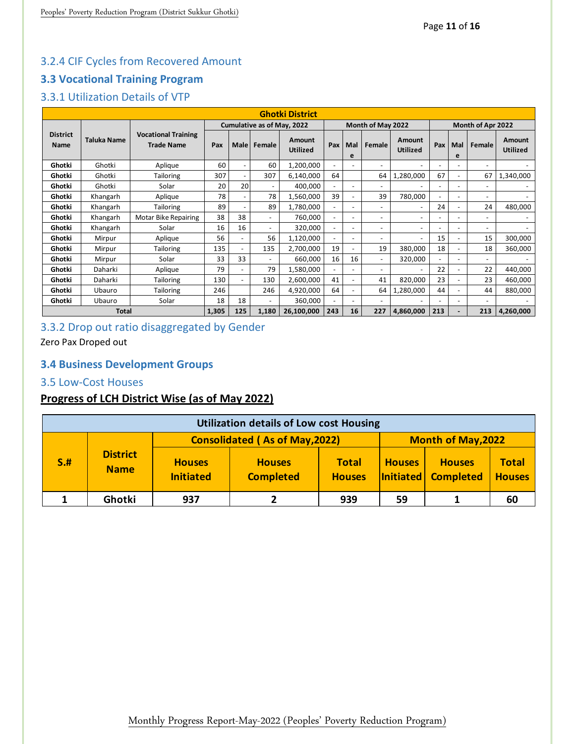# <span id="page-11-0"></span>3.2.4 CIF Cycles from Recovered Amount

# <span id="page-11-1"></span>**3.3 Vocational Training Program**

# <span id="page-11-2"></span>3.3.1 Utilization Details of VTP

|                         | 3.3.1 Utilization Details of VTP                                                                   |                                                 |                            |                          |             |                           |                   |                          |                |                           |                          |                          |                   |                           |
|-------------------------|----------------------------------------------------------------------------------------------------|-------------------------------------------------|----------------------------|--------------------------|-------------|---------------------------|-------------------|--------------------------|----------------|---------------------------|--------------------------|--------------------------|-------------------|---------------------------|
|                         |                                                                                                    |                                                 |                            |                          |             | <b>Ghotki District</b>    |                   |                          |                |                           |                          |                          |                   |                           |
|                         |                                                                                                    |                                                 | Cumulative as of May, 2022 |                          |             |                           | Month of May 2022 |                          |                |                           |                          |                          | Month of Apr 2022 |                           |
| <b>District</b><br>Name | <b>Taluka Name</b>                                                                                 | <b>Vocational Training</b><br><b>Trade Name</b> | Pax                        |                          | Male Female | Amount<br><b>Utilized</b> | Pax               | Mal<br>е                 | Female         | Amount<br><b>Utilized</b> | Pax                      | Mal<br>е                 | Female            | Amount<br><b>Utilized</b> |
| Ghotki                  | Ghotki                                                                                             | Aplique                                         | 60                         |                          | 60          | 1,200,000                 | ۰                 |                          |                |                           | ٠                        |                          |                   |                           |
| Ghotki                  | Ghotki                                                                                             | <b>Tailoring</b>                                | 307                        |                          | 307         | 6,140,000                 | 64                |                          | 64             | 1,280,000                 | 67                       | $\overline{\phantom{0}}$ | 67                | 1,340,000                 |
| Ghotki                  | Ghotki                                                                                             | Solar                                           | 20                         | 20                       |             | 400,000                   | ٠                 | $\overline{\phantom{0}}$ | ٠              |                           | ۰                        | $\sim$                   | ٠                 |                           |
| Ghotki                  | Khangarh                                                                                           | Aplique                                         | 78                         |                          | 78          | 1,560,000                 | 39                | ۰                        | 39             | 780,000                   |                          |                          |                   |                           |
| Ghotki                  | Khangarh                                                                                           | <b>Tailoring</b>                                | 89                         |                          | 89          | 1,780,000                 | $\blacksquare$    | $\overline{a}$           | L,             | $\overline{a}$            | 24                       | $\overline{a}$           | 24                | 480,000                   |
| Ghotki                  | Khangarh                                                                                           | <b>Motar Bike Repairing</b>                     | 38                         | 38                       |             | 760,000                   | $\blacksquare$    | $\overline{\phantom{0}}$ | $\overline{a}$ | $\overline{a}$            |                          |                          |                   |                           |
| Ghotki                  | Khangarh                                                                                           | Solar                                           | 16                         | 16                       |             | 320,000                   | ٠                 | $\overline{\phantom{0}}$ | $\overline{a}$ | $\overline{\phantom{a}}$  | $\overline{\phantom{0}}$ | $\overline{\phantom{a}}$ | ٠                 | $\overline{\phantom{0}}$  |
| Ghotki                  | Mirpur                                                                                             | Aplique                                         | 56                         | $\overline{\phantom{a}}$ | 56          | 1,120,000                 | ٠                 | $\overline{a}$           |                | $\overline{\phantom{a}}$  | 15                       | $\overline{a}$           | 15                | 300,000                   |
| Ghotki                  | Mirpur                                                                                             | <b>Tailoring</b>                                | 135                        | $\overline{a}$           | 135         | 2,700,000                 | 19                | ۰                        | 19             | 380,000                   | 18                       |                          | 18                | 360,000                   |
| Ghotki                  | Mirpur                                                                                             | Solar                                           | 33                         | 33                       |             | 660,000                   | 16                | 16                       | ٠              | 320,000                   | $\overline{\phantom{0}}$ | $\overline{\phantom{a}}$ | ٠                 |                           |
| Ghotki                  | Daharki                                                                                            | Aplique                                         | 79                         | $\overline{\phantom{a}}$ | 79          | 1,580,000                 | ٠                 |                          | ٠              |                           | 22                       |                          | 22                | 440,000                   |
| Ghotki                  | Daharki                                                                                            | <b>Tailoring</b>                                | 130                        | $\overline{a}$           | 130         | 2,600,000                 | 41                | ۰                        | 41             | 820,000                   | 23                       | ۰                        | 23                | 460,000                   |
| Ghotki                  | Ubauro                                                                                             | <b>Tailoring</b>                                | 246                        |                          | 246         | 4,920,000                 | 64                | $\overline{\phantom{0}}$ | 64             | 1,280,000                 | 44                       | $\overline{a}$           | 44                | 880,000                   |
| Ghotki                  | Ubauro                                                                                             | Solar                                           | 18                         | 18                       | ٠           | 360,000                   | ٠                 | $\overline{\phantom{0}}$ | ٠              |                           |                          | $\overline{\phantom{a}}$ |                   |                           |
|                         | 16<br>227<br>125<br>26,100,000<br>243<br>213<br>213<br>1,305<br>1,180<br>4,860,000<br><b>Total</b> |                                                 |                            |                          |             |                           |                   |                          |                |                           |                          | 4,260,000                |                   |                           |

# <span id="page-11-3"></span>3.3.2 Drop out ratio disaggregated by Gender

Zero Pax Droped out

# <span id="page-11-4"></span>**3.4 Business Development Groups**

### <span id="page-11-5"></span>3.5 Low-Cost Houses

# **Progress of LCH District Wise (as of May 2022)**

|      | <b>Utilization details of Low cost Housing</b> |                                   |                                       |                               |               |                                      |                               |  |  |  |  |  |
|------|------------------------------------------------|-----------------------------------|---------------------------------------|-------------------------------|---------------|--------------------------------------|-------------------------------|--|--|--|--|--|
|      |                                                |                                   | <b>Consolidated (As of May, 2022)</b> | <b>Month of May, 2022</b>     |               |                                      |                               |  |  |  |  |  |
| $S+$ | <b>District</b><br><b>Name</b>                 | <b>Houses</b><br><b>Initiated</b> | <b>Houses</b><br><b>Completed</b>     | <b>Total</b><br><b>Houses</b> | <b>Houses</b> | <b>Houses</b><br>Initiated Completed | <b>Total</b><br><b>Houses</b> |  |  |  |  |  |
|      | Ghotki                                         | 937                               |                                       | 939                           | 59            |                                      | 60                            |  |  |  |  |  |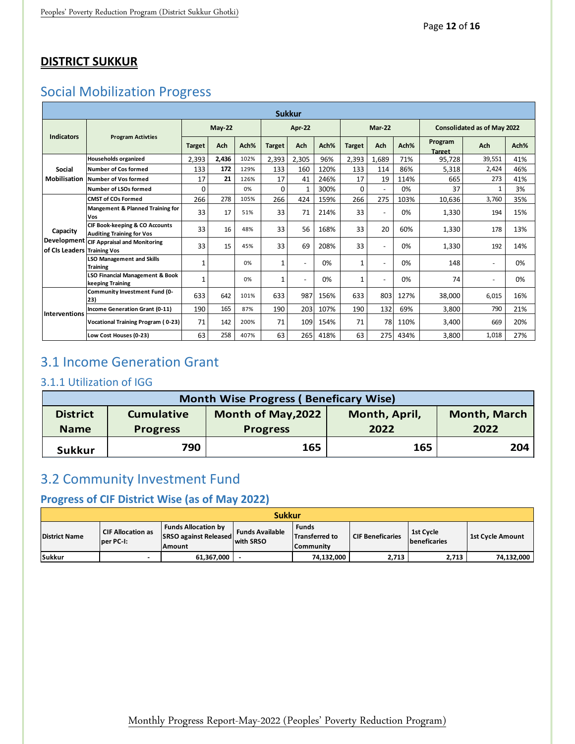# **DISTRICT SUKKUR**

# <span id="page-12-0"></span>Social Mobilization Progress

|                                            | <b>Sukkur</b>                                                                 |               |          |      |               |              |      |               |               |      |                          |                                    |      |
|--------------------------------------------|-------------------------------------------------------------------------------|---------------|----------|------|---------------|--------------|------|---------------|---------------|------|--------------------------|------------------------------------|------|
|                                            | <b>Program Activties</b>                                                      |               | $May-22$ |      |               | Apr-22       |      |               | <b>Mar-22</b> |      |                          | <b>Consolidated as of May 2022</b> |      |
| <b>Indicators</b>                          |                                                                               | <b>Target</b> | Ach      | Ach% | <b>Target</b> | <b>Ach</b>   | Ach% | <b>Target</b> | Ach           | Ach% | Program<br><b>Target</b> | Ach                                | Ach% |
|                                            | <b>Households organized</b>                                                   | 2,393         | 2,436    | 102% | 2,393         | 2,305        | 96%  | 2,393         | 1,689         | 71%  | 95,728                   | 39,551                             | 41%  |
| <b>Social</b>                              | Number of Cos formed                                                          | 133           | 172      | 129% | 133           | 160          | 120% | 133           | 114           | 86%  | 5,318                    | 2,424                              | 46%  |
| Mobilisation                               | Number of Vos formed                                                          | 17            | 21       | 126% | 17            | 41           | 246% | 17            | 19            | 114% | 665                      | 273                                | 41%  |
|                                            | Number of LSOs formed                                                         | $\Omega$      |          | 0%   | $\Omega$      | $\mathbf{1}$ | 300% | $\Omega$      |               | 0%   | 37                       |                                    | 3%   |
|                                            | <b>CMST of COs Formed</b>                                                     | 266           | 278      | 105% | 266           | 424          | 159% | 266           | 275           | 103% | 10,636                   | 3,760                              | 35%  |
|                                            | <b>Mangement &amp; Planned Training for</b><br>Vos                            | 33            | 17       | 51%  | 33            | 71           | 214% | 33            |               | 0%   | 1,330                    | 194                                | 15%  |
| Capacity                                   | <b>CIF Book-keeping &amp; CO Accounts</b><br><b>Auditing Training for Vos</b> | 33            | 16       | 48%  | 33            | 56           | 168% | 33            | 20            | 60%  | 1,330                    | 178                                | 13%  |
| Development<br>of CIs Leaders Training Vos | <b>CIF Appraisal and Monitoring</b>                                           | 33            | 15       | 45%  | 33            | 69           | 208% | 33            |               | 0%   | 1,330                    | 192                                | 14%  |
|                                            | <b>LSO Management and Skills</b><br><b>Training</b>                           | $\mathbf{1}$  |          | 0%   | $\mathbf{1}$  |              | 0%   | $\mathbf{1}$  |               | 0%   | 148                      | $\sim$                             | 0%   |
|                                            | <b>LSO Financial Management &amp; Book</b><br>keeping Training                | $\mathbf{1}$  |          | 0%   | $\mathbf{1}$  |              | 0%   | 1             |               | 0%   | 74                       |                                    | 0%   |
|                                            | Community Investment Fund (0-<br>23)                                          | 633           | 642      | 101% | 633           | 987          | 156% | 633           | 803           | 127% | 38,000                   | 6,015                              | 16%  |
| <b>Interventions</b>                       | Income Generation Grant (0-11)                                                | 190           | 165      | 87%  | 190           | 203          | 107% | 190           | 132           | 69%  | 3,800                    | 790                                | 21%  |
|                                            | Vocational Training Program (0-23)                                            | 71            | 142      | 200% | 71            | 109          | 154% | 71            | 78            | 110% | 3,400                    | 669                                | 20%  |
|                                            | Low Cost Houses (0-23)                                                        | 63            | 258      | 407% | 63            | 265          | 418% | 63            | 275           | 434% | 3,800                    | 1,018                              | 27%  |

# <span id="page-12-1"></span>3.1 Income Generation Grant

## <span id="page-12-2"></span>3.1.1 Utilization of IGG

|                                                                                                           | <b>Month Wise Progress (Beneficary Wise)</b> |                 |      |      |  |  |  |  |  |  |  |  |
|-----------------------------------------------------------------------------------------------------------|----------------------------------------------|-----------------|------|------|--|--|--|--|--|--|--|--|
| <b>Month, March</b><br><b>Month of May, 2022</b><br>Month, April,<br><b>District</b><br><b>Cumulative</b> |                                              |                 |      |      |  |  |  |  |  |  |  |  |
| <b>Name</b>                                                                                               | <b>Progress</b>                              | <b>Progress</b> | 2022 | 2022 |  |  |  |  |  |  |  |  |
| <b>Sukkur</b>                                                                                             | 790                                          | 165             | 165  | 204  |  |  |  |  |  |  |  |  |

# 3.2 Community Investment Fund

# <span id="page-12-3"></span>**Progress of CIF District Wise (as of May 2022)**

| <b>Sukkur</b>        |                                        |                                                                      |                                     |                                                           |                         |                                          |                         |  |  |  |
|----------------------|----------------------------------------|----------------------------------------------------------------------|-------------------------------------|-----------------------------------------------------------|-------------------------|------------------------------------------|-------------------------|--|--|--|
| <b>District Name</b> | <b>CIF Allocation as</b><br>lper PC-I: | <b>Funds Allocation by</b><br><b>SRSO</b> against Released<br>Amount | <b>Funds Available</b><br>with SRSO | <b>Funds</b><br><b>Transferred to</b><br><b>Community</b> | <b>CIF Beneficaries</b> | <b>1st Cycle</b><br><b>Ibeneficaries</b> | <b>1st Cycle Amount</b> |  |  |  |
| Sukkur               | $\overline{\phantom{a}}$               | 61,367,000                                                           |                                     | 74,132,000                                                | 2,713                   | 2,713                                    | 74,132,000              |  |  |  |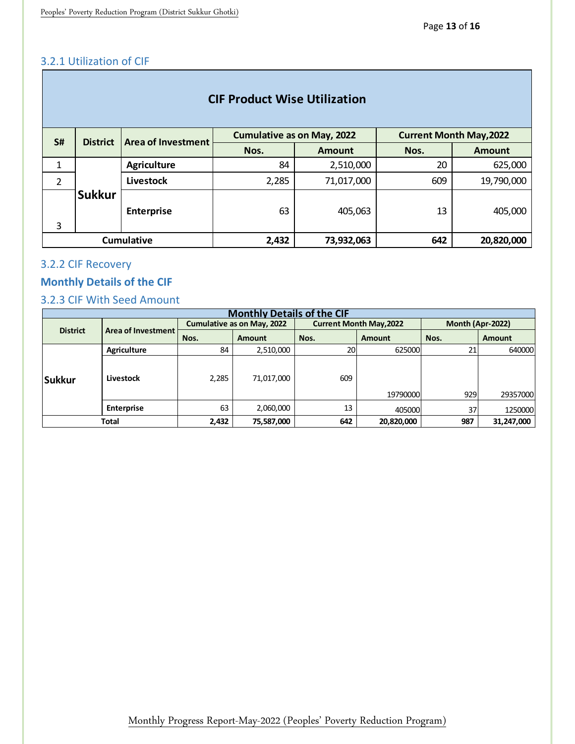# <span id="page-13-0"></span>3.2.1 Utilization of CIF

| <b>CIF Product Wise Utilization</b> |                 |                    |                                   |               |                                |               |  |  |  |
|-------------------------------------|-----------------|--------------------|-----------------------------------|---------------|--------------------------------|---------------|--|--|--|
| <b>S#</b>                           | <b>District</b> | Area of Investment | <b>Cumulative as on May, 2022</b> |               | <b>Current Month May, 2022</b> |               |  |  |  |
|                                     |                 |                    | Nos.                              | <b>Amount</b> | Nos.                           | <b>Amount</b> |  |  |  |
| 1                                   | <b>Sukkur</b>   | <b>Agriculture</b> | 84                                | 2,510,000     | 20                             | 625,000       |  |  |  |
| $\overline{2}$                      |                 | Livestock          | 2,285                             | 71,017,000    | 609                            | 19,790,000    |  |  |  |
| 3                                   |                 | <b>Enterprise</b>  | 63                                | 405,063       | 13                             | 405,000       |  |  |  |
|                                     |                 | <b>Cumulative</b>  | 2,432                             | 73,932,063    | 642                            | 20,820,000    |  |  |  |

# <span id="page-13-1"></span>3.2.2 CIF Recovery

# <span id="page-13-2"></span>**Monthly Details of the CIF**

# <span id="page-13-3"></span>3.2.3 CIF With Seed Amount

| <b>Monthly Details of the CIF</b> |                    |       |                                   |      |                                |                  |               |  |  |  |  |
|-----------------------------------|--------------------|-------|-----------------------------------|------|--------------------------------|------------------|---------------|--|--|--|--|
| <b>District</b>                   | Area of Investment |       | <b>Cumulative as on May, 2022</b> |      | <b>Current Month May, 2022</b> | Month (Apr-2022) |               |  |  |  |  |
|                                   |                    | Nos.  | <b>Amount</b>                     | Nos. | <b>Amount</b>                  | Nos.             | <b>Amount</b> |  |  |  |  |
|                                   | <b>Agriculture</b> | 84    | 2,510,000                         | 20   | 625000                         | 21               | 640000        |  |  |  |  |
| Sukkur                            | Livestock          | 2,285 | 71,017,000                        | 609  | 19790000                       | 929              | 29357000      |  |  |  |  |
|                                   | <b>Enterprise</b>  | 63    | 2,060,000                         | 13   | 405000                         | 37               | 1250000       |  |  |  |  |
| <b>Total</b>                      |                    | 2,432 | 75,587,000                        | 642  | 20,820,000                     | 987              | 31,247,000    |  |  |  |  |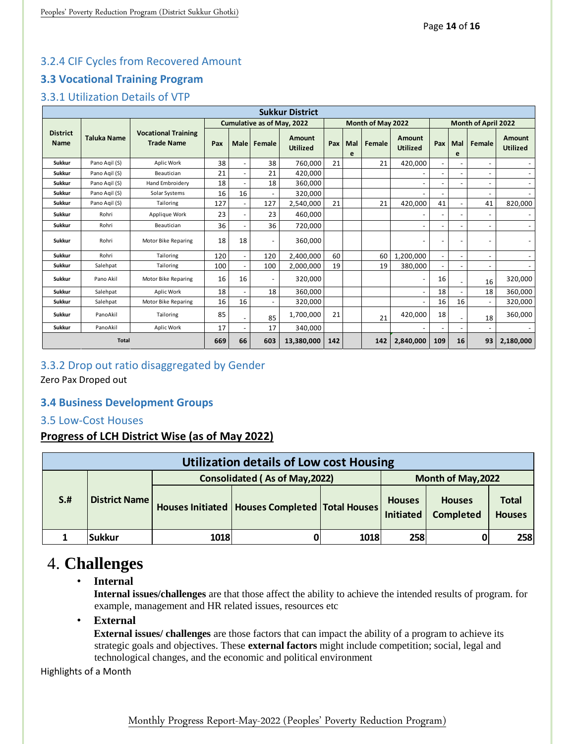# <span id="page-14-0"></span>3.2.4 CIF Cycles from Recovered Amount

# <span id="page-14-1"></span>**3.3 Vocational Training Program**

# <span id="page-14-2"></span>3.3.1 Utilization Details of VTP

| <b>Sukkur District</b>         |                    |                                                 |                                   |                          |        |                           |     |                   |        |                           |                     |                          |        |                           |
|--------------------------------|--------------------|-------------------------------------------------|-----------------------------------|--------------------------|--------|---------------------------|-----|-------------------|--------|---------------------------|---------------------|--------------------------|--------|---------------------------|
|                                |                    |                                                 | <b>Cumulative as of May, 2022</b> |                          |        |                           |     | Month of May 2022 |        |                           | Month of April 2022 |                          |        |                           |
| <b>District</b><br><b>Name</b> | <b>Taluka Name</b> | <b>Vocational Training</b><br><b>Trade Name</b> | Pax                               | Male                     | Female | Amount<br><b>Utilized</b> | Pax | Mal<br>e          | Female | Amount<br><b>Utilized</b> | Pax                 | Mal<br>e                 | Female | Amount<br><b>Utilized</b> |
| <b>Sukkur</b>                  | Pano Agil (S)      | Aplic Work                                      | 38                                | $\overline{\phantom{a}}$ | 38     | 760,000                   | 21  |                   | 21     | 420,000                   |                     |                          |        |                           |
| Sukkur                         | Pano Agil (S)      | Beautician                                      | 21                                | ٠                        | 21     | 420.000                   |     |                   |        |                           |                     | $\overline{a}$           |        |                           |
| <b>Sukkur</b>                  | Pano Agil (S)      | Hand Embroidery                                 | 18                                |                          | 18     | 360.000                   |     |                   |        |                           |                     | $\overline{\phantom{a}}$ | ٠      | $\overline{\phantom{a}}$  |
| Sukkur                         | Pano Agil (S)      | Solar Systems                                   | 16                                | 16                       |        | 320,000                   |     |                   |        |                           |                     |                          |        |                           |
| <b>Sukkur</b>                  | Pano Agil (S)      | Tailoring                                       | 127                               |                          | 127    | 2,540,000                 | 21  |                   | 21     | 420,000                   | 41                  | Ĭ.                       | 41     | 820,000                   |
| <b>Sukkur</b>                  | Rohri              | Applique Work                                   | 23                                |                          | 23     | 460,000                   |     |                   |        |                           |                     | $\overline{a}$           |        |                           |
| <b>Sukkur</b>                  | Rohri              | Beautician                                      | 36                                |                          | 36     | 720,000                   |     |                   |        |                           |                     | ٠                        |        |                           |
| <b>Sukkur</b>                  | Rohri              | Motor Bike Reparing                             | 18                                | 18                       | ٠      | 360,000                   |     |                   |        |                           |                     | $\overline{a}$           |        |                           |
| <b>Sukkur</b>                  | Rohri              | Tailoring                                       | 120                               | $\overline{\phantom{a}}$ | 120    | 2,400,000                 | 60  |                   | 60     | 1,200,000                 |                     | Ĭ.                       |        |                           |
| <b>Sukkur</b>                  | Salehpat           | Tailoring                                       | 100                               |                          | 100    | 2,000,000                 | 19  |                   | 19     | 380,000                   |                     |                          |        |                           |
| <b>Sukkur</b>                  | Pano Akil          | Motor Bike Reparing                             | 16                                | 16                       |        | 320,000                   |     |                   |        |                           | 16                  | ٠                        | 16     | 320,000                   |
| <b>Sukkur</b>                  | Salehpat           | Aplic Work                                      | 18                                |                          | 18     | 360,000                   |     |                   |        |                           | 18                  |                          | 18     | 360,000                   |
| Sukkur                         | Salehpat           | Motor Bike Reparing                             | 16                                | 16                       | ٠      | 320,000                   |     |                   |        |                           | 16                  | 16                       |        | 320,000                   |
| <b>Sukkur</b>                  | PanoAkil           | Tailoring                                       | 85                                |                          | 85     | 1,700,000                 | 21  |                   | 21     | 420,000                   | 18                  |                          | 18     | 360,000                   |
| <b>Sukkur</b>                  | PanoAkil           | Aplic Work                                      | 17                                |                          | 17     | 340,000                   |     |                   |        |                           |                     |                          |        |                           |
| <b>Total</b>                   |                    |                                                 | 669                               | 66                       | 603    | 13,380,000                | 142 |                   | 142    | 2,840,000                 | 109                 | 16                       | 93     | 2,180,000                 |

### <span id="page-14-3"></span>3.3.2 Drop out ratio disaggregated by Gender

Zero Pax Droped out

### <span id="page-14-4"></span>**3.4 Business Development Groups**

### <span id="page-14-5"></span>3.5 Low-Cost Houses

### **Progress of LCH District Wise (as of May 2022)**

| <b>Utilization details of Low cost Housing</b> |                      |      |                                                    |                    |                                   |                                   |                               |  |  |  |
|------------------------------------------------|----------------------|------|----------------------------------------------------|--------------------|-----------------------------------|-----------------------------------|-------------------------------|--|--|--|
|                                                |                      |      | <b>Consolidated (As of May, 2022)</b>              | Month of May, 2022 |                                   |                                   |                               |  |  |  |
| $S+$                                           | <b>District Name</b> |      | Houses Initiated   Houses Completed   Total Houses |                    | <b>Houses</b><br><b>Initiated</b> | <b>Houses</b><br><b>Completed</b> | <b>Total</b><br><b>Houses</b> |  |  |  |
|                                                | <b>Sukkur</b>        | 1018 |                                                    | 1018               | 258                               |                                   | 258                           |  |  |  |

# 4. **Challenges**

• **Internal** 

**Internal issues/challenges** are that those affect the ability to achieve the intended results of program. for example, management and HR related issues, resources etc

• **External** 

**External issues/ challenges** are those factors that can impact the ability of a program to achieve its strategic goals and objectives. These **external factors** might include competition; social, legal and technological changes, and the economic and political environment

Highlights of a Month